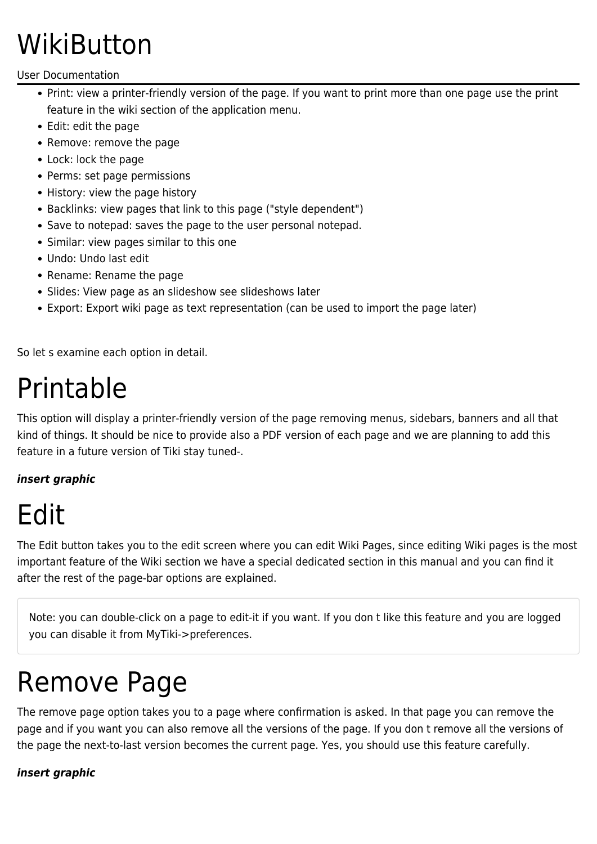# WikiButton

#### User Documentation

- Print: view a printer-friendly version of the page. If you want to print more than one page use the print feature in the wiki section of the application menu.
- Edit: edit the page
- Remove: remove the page
- Lock: lock the page
- Perms: set page permissions
- History: view the page history
- Backlinks: view pages that link to this page ("style dependent")
- Save to notepad: saves the page to the user personal notepad.
- Similar: view pages similar to this one
- Undo: Undo last edit
- Rename: Rename the page
- Slides: View page as an slideshow see slideshows later
- Export: Export wiki page as text representation (can be used to import the page later)

So let s examine each option in detail.

# Printable

This option will display a printer-friendly version of the page removing menus, sidebars, banners and all that kind of things. It should be nice to provide also a PDF version of each page and we are planning to add this feature in a future version of Tiki stay tuned-.

## *insert graphic*

# Edit

The Edit button takes you to the edit screen where you can edit Wiki Pages, since editing Wiki pages is the most important feature of the Wiki section we have a special dedicated section in this manual and you can find it after the rest of the page-bar options are explained.

Note: you can double-click on a page to edit-it if you want. If you don t like this feature and you are logged you can disable it from MyTiki->preferences.

## Remove Page

The remove page option takes you to a page where confirmation is asked. In that page you can remove the page and if you want you can also remove all the versions of the page. If you don t remove all the versions of the page the next-to-last version becomes the current page. Yes, you should use this feature carefully.

#### *insert graphic*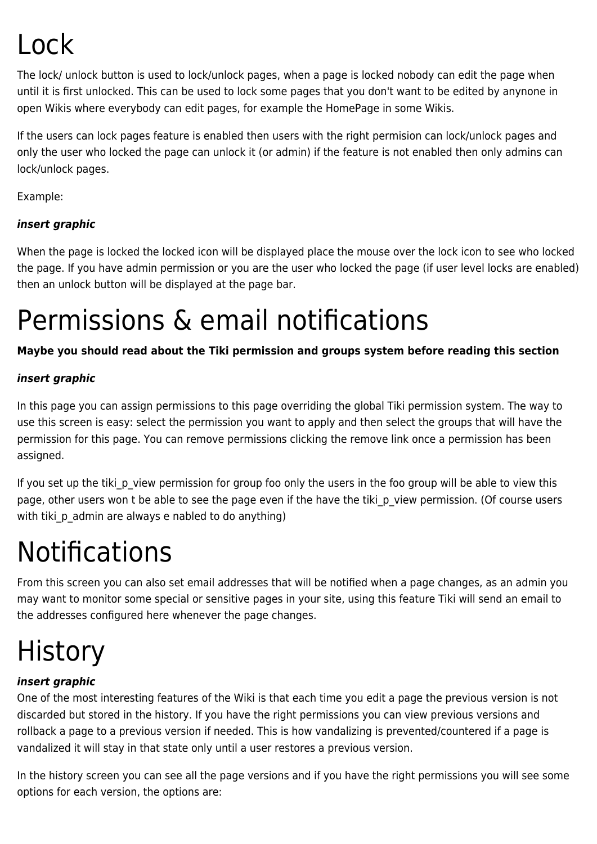# Lock

The lock/ unlock button is used to lock/unlock pages, when a page is locked nobody can edit the page when until it is first unlocked. This can be used to lock some pages that you don't want to be edited by anynone in open Wikis where everybody can edit pages, for example the HomePage in some Wikis.

If the users can lock pages feature is enabled then users with the right permision can lock/unlock pages and only the user who locked the page can unlock it (or admin) if the feature is not enabled then only admins can lock/unlock pages.

Example:

## *insert graphic*

When the page is locked the locked icon will be displayed place the mouse over the lock icon to see who locked the page. If you have admin permission or you are the user who locked the page (if user level locks are enabled) then an unlock button will be displayed at the page bar.

# Permissions & email notifications

**Maybe you should read about the Tiki permission and groups system before reading this section**

#### *insert graphic*

In this page you can assign permissions to this page overriding the global Tiki permission system. The way to use this screen is easy: select the permission you want to apply and then select the groups that will have the permission for this page. You can remove permissions clicking the remove link once a permission has been assigned.

If you set up the tiki\_p\_view permission for group foo only the users in the foo group will be able to view this page, other users won t be able to see the page even if the have the tiki p view permission. (Of course users with tiki p\_admin are always e nabled to do anything)

# Notifications

From this screen you can also set email addresses that will be notified when a page changes, as an admin you may want to monitor some special or sensitive pages in your site, using this feature Tiki will send an email to the addresses configured here whenever the page changes.

# **History**

## *insert graphic*

One of the most interesting features of the Wiki is that each time you edit a page the previous version is not discarded but stored in the history. If you have the right permissions you can view previous versions and rollback a page to a previous version if needed. This is how vandalizing is prevented/countered if a page is vandalized it will stay in that state only until a user restores a previous version.

In the history screen you can see all the page versions and if you have the right permissions you will see some options for each version, the options are: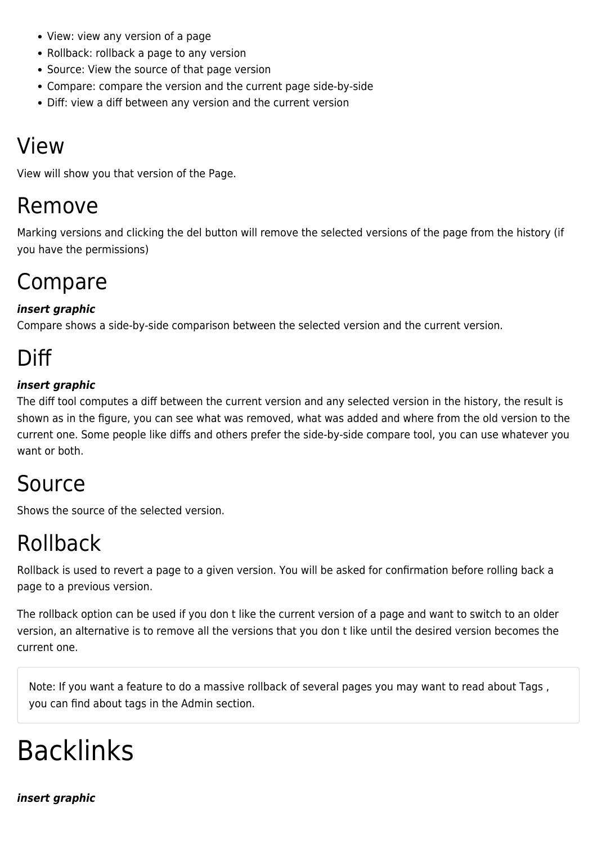- View: view any version of a page
- Rollback: rollback a page to any version
- Source: View the source of that page version
- Compare: compare the version and the current page side-by-side
- Diff: view a diff between any version and the current version

## View

View will show you that version of the Page.

## Remove

Marking versions and clicking the del button will remove the selected versions of the page from the history (if you have the permissions)

## Compare

## *insert graphic*

Compare shows a side-by-side comparison between the selected version and the current version.

## Diff

#### *insert graphic*

The diff tool computes a diff between the current version and any selected version in the history, the result is shown as in the figure, you can see what was removed, what was added and where from the old version to the current one. Some people like diffs and others prefer the side-by-side compare tool, you can use whatever you want or both.

## Source

Shows the source of the selected version.

## Rollback

Rollback is used to revert a page to a given version. You will be asked for confirmation before rolling back a page to a previous version.

The rollback option can be used if you don t like the current version of a page and want to switch to an older version, an alternative is to remove all the versions that you don t like until the desired version becomes the current one.

Note: If you want a feature to do a massive rollback of several pages you may want to read about Tags , you can find about tags in the Admin section.

# Backlinks

*insert graphic*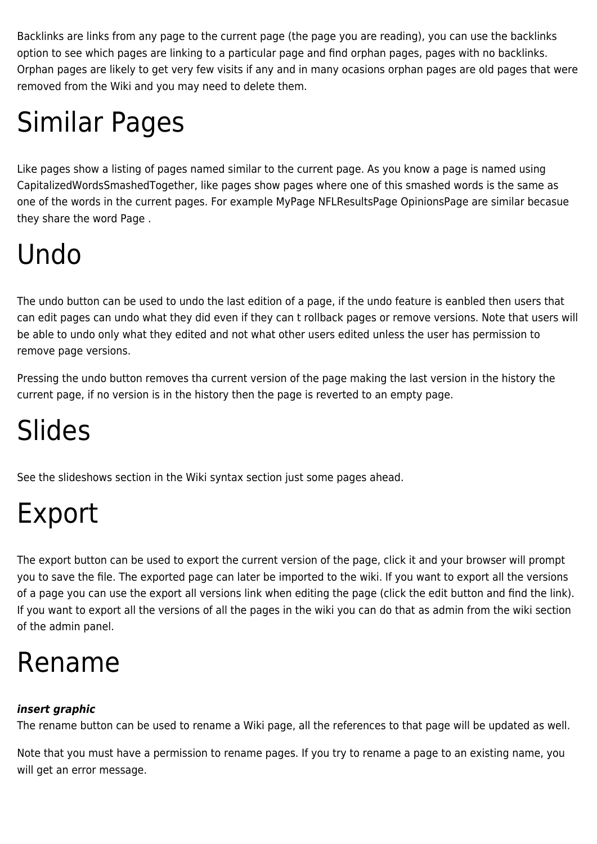Backlinks are links from any page to the current page (the page you are reading), you can use the backlinks option to see which pages are linking to a particular page and find orphan pages, pages with no backlinks. Orphan pages are likely to get very few visits if any and in many ocasions orphan pages are old pages that were removed from the Wiki and you may need to delete them.

# Similar Pages

Like pages show a listing of pages named similar to the current page. As you know a page is named using CapitalizedWordsSmashedTogether, like pages show pages where one of this smashed words is the same as one of the words in the current pages. For example MyPage NFLResultsPage OpinionsPage are similar becasue they share the word Page .

# Undo

The undo button can be used to undo the last edition of a page, if the undo feature is eanbled then users that can edit pages can undo what they did even if they can t rollback pages or remove versions. Note that users will be able to undo only what they edited and not what other users edited unless the user has permission to remove page versions.

Pressing the undo button removes tha current version of the page making the last version in the history the current page, if no version is in the history then the page is reverted to an empty page.

# Slides

See the slideshows section in the Wiki syntax section just some pages ahead.

# Export

The export button can be used to export the current version of the page, click it and your browser will prompt you to save the file. The exported page can later be imported to the wiki. If you want to export all the versions of a page you can use the export all versions link when editing the page (click the edit button and find the link). If you want to export all the versions of all the pages in the wiki you can do that as admin from the wiki section of the admin panel.

## Rename

## *insert graphic*

The rename button can be used to rename a Wiki page, all the references to that page will be updated as well.

Note that you must have a permission to rename pages. If you try to rename a page to an existing name, you will get an error message.